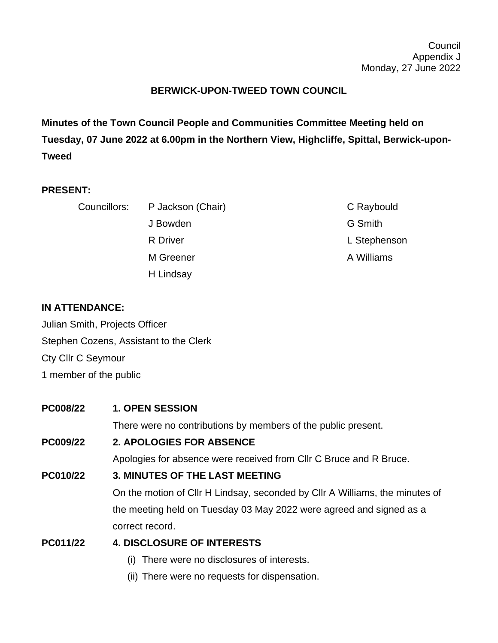# **BERWICK-UPON-TWEED TOWN COUNCIL**

**Minutes of the Town Council People and Communities Committee Meeting held on Tuesday, 07 June 2022 at 6.00pm in the Northern View, Highcliffe, Spittal, Berwick-upon-Tweed**

#### **PRESENT:**

|  | Councillors: P Jackson (Chair) | C Raybould   |
|--|--------------------------------|--------------|
|  | J Bowden                       | G Smith      |
|  | <b>R</b> Driver                | L Stephenson |
|  | M Greener                      | A Williams   |
|  | H Lindsay                      |              |

## **IN ATTENDANCE:**

Julian Smith, Projects Officer Stephen Cozens, Assistant to the Clerk Cty Cllr C Seymour 1 member of the public

| PC008/22 | <b>1. OPEN SESSION</b>                                                       |  |
|----------|------------------------------------------------------------------------------|--|
|          | There were no contributions by members of the public present.                |  |
| PC009/22 | <b>2. APOLOGIES FOR ABSENCE</b>                                              |  |
|          | Apologies for absence were received from CIIr C Bruce and R Bruce.           |  |
| PC010/22 | 3. MINUTES OF THE LAST MEETING                                               |  |
|          | On the motion of Cllr H Lindsay, seconded by Cllr A Williams, the minutes of |  |
|          | the meeting held on Tuesday 03 May 2022 were agreed and signed as a          |  |
|          | correct record.                                                              |  |
| PC011/22 | <b>4. DISCLOSURE OF INTERESTS</b>                                            |  |
|          | There were no disclosures of interests.<br>(1)                               |  |
|          |                                                                              |  |

(ii) There were no requests for dispensation.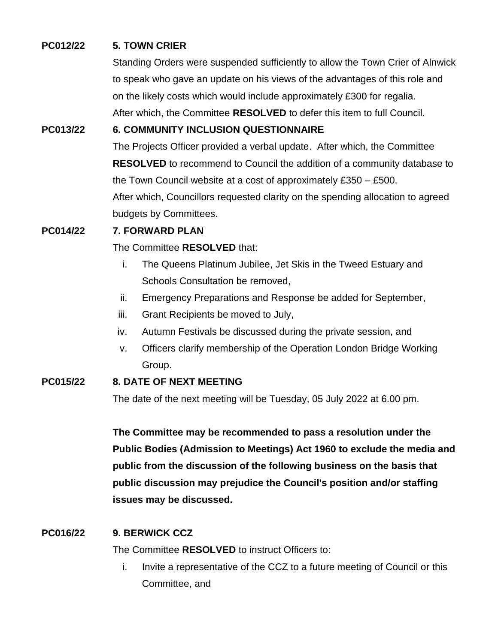## **PC012/22 5. TOWN CRIER**

Standing Orders were suspended sufficiently to allow the Town Crier of Alnwick to speak who gave an update on his views of the advantages of this role and on the likely costs which would include approximately £300 for regalia. After which, the Committee **RESOLVED** to defer this item to full Council.

## **PC013/22 6. COMMUNITY INCLUSION QUESTIONNAIRE**

The Projects Officer provided a verbal update. After which, the Committee **RESOLVED** to recommend to Council the addition of a community database to the Town Council website at a cost of approximately £350 – £500. After which, Councillors requested clarity on the spending allocation to agreed budgets by Committees.

## **PC014/22 7. FORWARD PLAN**

The Committee **RESOLVED** that:

- i. The Queens Platinum Jubilee, Jet Skis in the Tweed Estuary and Schools Consultation be removed,
- ii. Emergency Preparations and Response be added for September,
- iii. Grant Recipients be moved to July,
- iv. Autumn Festivals be discussed during the private session, and
- v. Officers clarify membership of the Operation London Bridge Working Group.

#### **PC015/22 8. DATE OF NEXT MEETING**

The date of the next meeting will be Tuesday, 05 July 2022 at 6.00 pm.

**The Committee may be recommended to pass a resolution under the Public Bodies (Admission to Meetings) Act 1960 to exclude the media and public from the discussion of the following business on the basis that public discussion may prejudice the Council's position and/or staffing issues may be discussed.**

#### **PC016/22 9. BERWICK CCZ**

The Committee **RESOLVED** to instruct Officers to:

i. Invite a representative of the CCZ to a future meeting of Council or this Committee, and